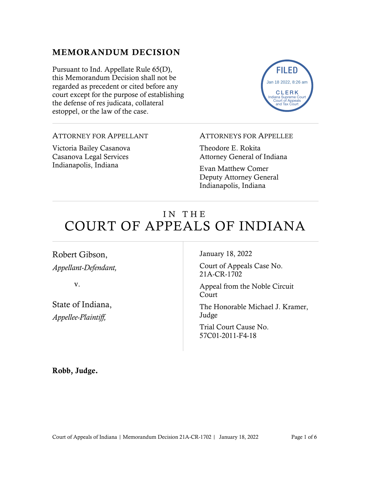#### MEMORANDUM DECISION

Pursuant to Ind. Appellate Rule 65(D), this Memorandum Decision shall not be regarded as precedent or cited before any court except for the purpose of establishing the defense of res judicata, collateral estoppel, or the law of the case.



#### ATTORNEY FOR APPELLANT

Victoria Bailey Casanova Casanova Legal Services Indianapolis, Indiana

#### ATTORNEYS FOR APPELLEE

Theodore E. Rokita Attorney General of Indiana

Evan Matthew Comer Deputy Attorney General Indianapolis, Indiana

# IN THE COURT OF APPEALS OF INDIANA

Robert Gibson, *Appellant-Defendant,*

v.

State of Indiana, *Appellee-Plaintiff,*

January 18, 2022

Court of Appeals Case No. 21A-CR-1702

Appeal from the Noble Circuit Court

The Honorable Michael J. Kramer, Judge

Trial Court Cause No. 57C01-2011-F4-18

Robb, Judge.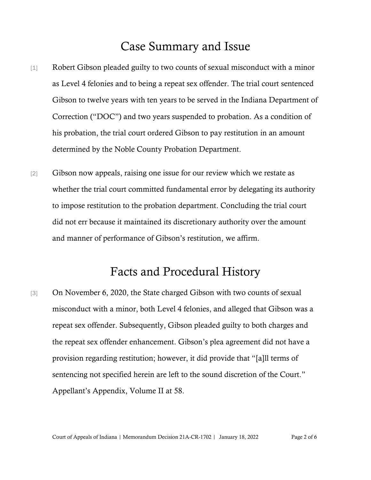## Case Summary and Issue

- [1] Robert Gibson pleaded guilty to two counts of sexual misconduct with a minor as Level 4 felonies and to being a repeat sex offender. The trial court sentenced Gibson to twelve years with ten years to be served in the Indiana Department of Correction ("DOC") and two years suspended to probation. As a condition of his probation, the trial court ordered Gibson to pay restitution in an amount determined by the Noble County Probation Department.
- [2] Gibson now appeals, raising one issue for our review which we restate as whether the trial court committed fundamental error by delegating its authority to impose restitution to the probation department. Concluding the trial court did not err because it maintained its discretionary authority over the amount and manner of performance of Gibson's restitution, we affirm.

## Facts and Procedural History

[3] On November 6, 2020, the State charged Gibson with two counts of sexual misconduct with a minor, both Level 4 felonies, and alleged that Gibson was a repeat sex offender. Subsequently, Gibson pleaded guilty to both charges and the repeat sex offender enhancement. Gibson's plea agreement did not have a provision regarding restitution; however, it did provide that "[a]ll terms of sentencing not specified herein are left to the sound discretion of the Court." Appellant's Appendix, Volume II at 58.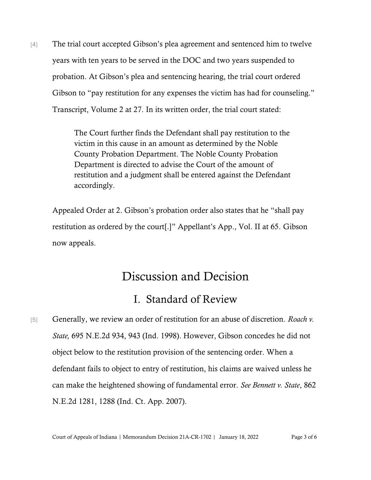[4] The trial court accepted Gibson's plea agreement and sentenced him to twelve years with ten years to be served in the DOC and two years suspended to probation. At Gibson's plea and sentencing hearing, the trial court ordered Gibson to "pay restitution for any expenses the victim has had for counseling." Transcript, Volume 2 at 27. In its written order, the trial court stated:

> The Court further finds the Defendant shall pay restitution to the victim in this cause in an amount as determined by the Noble County Probation Department. The Noble County Probation Department is directed to advise the Court of the amount of restitution and a judgment shall be entered against the Defendant accordingly.

Appealed Order at 2. Gibson's probation order also states that he "shall pay restitution as ordered by the court[.]" Appellant's App., Vol. II at 65. Gibson now appeals.

## Discussion and Decision

#### I. Standard of Review

[5] Generally, we review an order of restitution for an abuse of discretion. *[Roach](https://1.next.westlaw.com/Link/Document/FullText?findType=Y&serNum=1998130183&pubNum=578&originatingDoc=Idc61146a986911dca1e6fa81e64372bf&refType=RP&fi=co_pp_sp_578_943&originationContext=document&transitionType=DocumentItem&ppcid=95f454512fc54e248ccd5906ff9579fe&contextData=(sc.Search)#co_pp_sp_578_943) v. State,* 695 [N.E.2d](https://1.next.westlaw.com/Link/Document/FullText?findType=Y&serNum=1998130183&pubNum=578&originatingDoc=Idc61146a986911dca1e6fa81e64372bf&refType=RP&fi=co_pp_sp_578_943&originationContext=document&transitionType=DocumentItem&ppcid=95f454512fc54e248ccd5906ff9579fe&contextData=(sc.Search)#co_pp_sp_578_943) 934, 943 (Ind. 1998). However, Gibson concedes he did not object below to the restitution provision of the sentencing order. When a defendant fails to object to entry of restitution, his claims are waived unless he can make the heightened showing of fundamental error. *See Bennett v. State*, 862 N.E.2d 1281, 1288 (Ind. Ct. App. 2007).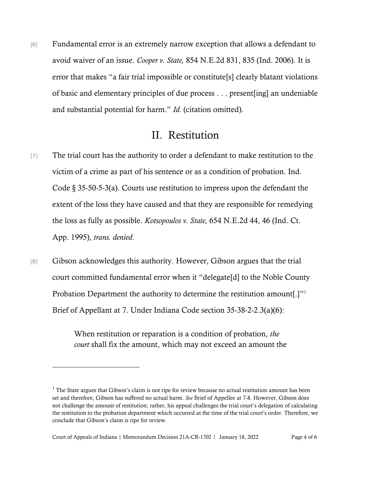[6] Fundamental error is an extremely narrow exception that allows a defendant to avoid waiver of an issue. *Cooper v. State,* 854 [N.E.2d](https://1.next.westlaw.com/Link/Document/FullText?findType=Y&serNum=2010407192&pubNum=578&originatingDoc=If5e3d961677f11dc8200d0063168b01f&refType=RP&fi=co_pp_sp_578_835&originationContext=document&transitionType=DocumentItem&ppcid=25d784d4f93d4b78a96c71c4d88e25f8&contextData=(sc.Search)#co_pp_sp_578_835) 831, 835 (Ind. [2006\).](https://1.next.westlaw.com/Link/Document/FullText?findType=Y&serNum=2010407192&pubNum=578&originatingDoc=If5e3d961677f11dc8200d0063168b01f&refType=RP&fi=co_pp_sp_578_835&originationContext=document&transitionType=DocumentItem&ppcid=25d784d4f93d4b78a96c71c4d88e25f8&contextData=(sc.Search)#co_pp_sp_578_835) It is error that makes "a fair trial impossible or constitute[s] clearly blatant violations of basic and elementary principles of due process . . . present[ing] an undeniable and substantial potential for harm." *Id.* (citation omitted).

### II. Restitution

- [7] The trial court has the authority to order a defendant to make restitution to the victim of a crime as part of his sentence or as a condition of probation. Ind. Code § 35-50-5-3(a). Courts use restitution to impress upon the defendant the extent of the loss they have caused and that they are responsible for remedying the loss as fully as possible. *[Kotsopoulos](https://1.next.westlaw.com/Link/Document/FullText?findType=Y&serNum=1995163937&pubNum=578&originatingDoc=Idc61146a986911dca1e6fa81e64372bf&refType=RP&fi=co_pp_sp_578_46&originationContext=document&transitionType=DocumentItem&ppcid=95f454512fc54e248ccd5906ff9579fe&contextData=(sc.Search)#co_pp_sp_578_46) v. State,* 654 N.E.2d 44, 46 (Ind. Ct[.](https://1.next.westlaw.com/Link/Document/FullText?findType=Y&serNum=1995163937&pubNum=578&originatingDoc=Idc61146a986911dca1e6fa81e64372bf&refType=RP&fi=co_pp_sp_578_46&originationContext=document&transitionType=DocumentItem&ppcid=95f454512fc54e248ccd5906ff9579fe&contextData=(sc.Search)#co_pp_sp_578_46) App. [1995\),](https://1.next.westlaw.com/Link/Document/FullText?findType=Y&serNum=1995163937&pubNum=578&originatingDoc=Idc61146a986911dca1e6fa81e64372bf&refType=RP&fi=co_pp_sp_578_46&originationContext=document&transitionType=DocumentItem&ppcid=95f454512fc54e248ccd5906ff9579fe&contextData=(sc.Search)#co_pp_sp_578_46) *trans. denied*.
- [8] Gibson acknowledges this authority. However, Gibson argues that the trial court committed fundamental error when it "delegate[d] to the Noble County Probation Department the authority to determine the restitution amount[.]" Brief of Appellant at 7. Under Indiana Code section 35-38-2-2.3(a)(6):

When restitution or reparation is a condition of probation, *the court* shall fix the amount, which may not exceed an amount the

 $1$  The State argues that Gibson's claim is not ripe for review because no actual restitution amount has been set and therefore, Gibson has suffered no actual harm. *See* Brief of Appellee at 7-8. However, Gibson does not challenge the amount of restitution; rather, his appeal challenges the trial court's delegation of calculating the restitution to the probation department which occurred at the time of the trial court's order. Therefore, we conclude that Gibson's claim is ripe for review.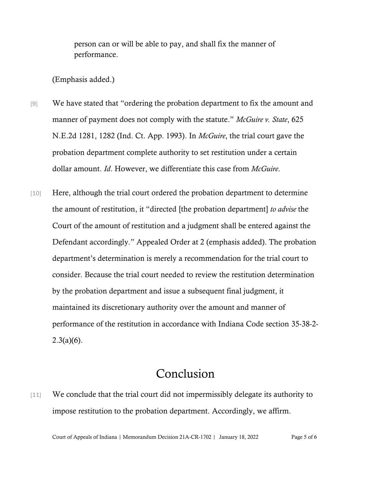person can or will be able to pay, and shall fix the manner of performance.

(Emphasis added.)

- [9] We have stated that "ordering the probation department to fix the amount and manner of payment does not comply with the statute." *McGuire v. State*, 625 N.E.2d 1281, 1282 (Ind. Ct. App. 1993). In *McGuire*, the trial court gave the probation department complete authority to set restitution under a certain dollar amount. *Id*. However, we differentiate this case from *McGuire*.
- [10] Here, although the trial court ordered the probation department to determine the amount of restitution, it "directed [the probation department] *to advise* the Court of the amount of restitution and a judgment shall be entered against the Defendant accordingly." Appealed Order at 2 (emphasis added). The probation department's determination is merely a recommendation for the trial court to consider. Because the trial court needed to review the restitution determination by the probation department and issue a subsequent final judgment, it maintained its discretionary authority over the amount and manner of performance of the restitution in accordance with Indiana Code section 35-38-2-  $2.3(a)(6)$ .

## Conclusion

[11] We conclude that the trial court did not impermissibly delegate its authority to impose restitution to the probation department. Accordingly, we affirm.